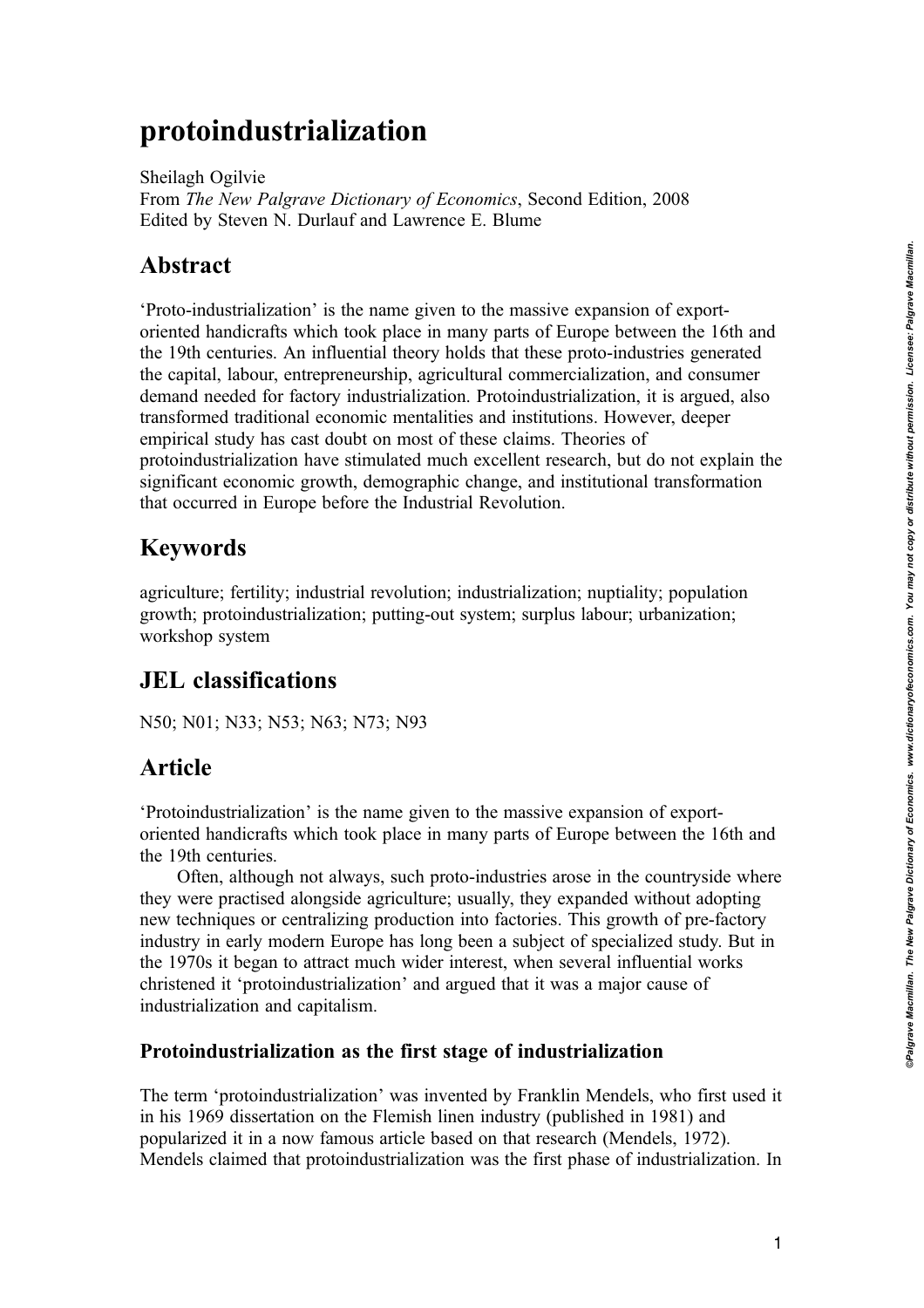# protoindustrialization

Sheilagh Ogilvie From The New Palgrave Dictionary of Economics, Second Edition, 2008 Edited by Steven N. Durlauf and Lawrence E. Blume

## Abstract

'Proto-industrialization' is the name given to the massive expansion of exportoriented handicrafts which took place in many parts of Europe between the 16th and the 19th centuries. An influential theory holds that these proto-industries generated the capital, labour, entrepreneurship, agricultural commercialization, and consumer demand needed for factory industrialization. Protoindustrialization, it is argued, also transformed traditional economic mentalities and institutions. However, deeper empirical study has cast doubt on most of these claims. Theories of protoindustrialization have stimulated much excellent research, but do not explain the significant economic growth, demographic change, and institutional transformation that occurred in Europe before the Industrial Revolution.

# Keywords

agriculture; fertility; industrial revolution; industrialization; nuptiality; population growth; protoindustrialization; putting-out system; surplus labour; urbanization; workshop system

# JEL classifications

N50; N01; N33; N53; N63; N73; N93

## Article

'Protoindustrialization' is the name given to the massive expansion of exportoriented handicrafts which took place in many parts of Europe between the 16th and the 19th centuries.

Often, although not always, such proto-industries arose in the countryside where they were practised alongside agriculture; usually, they expanded without adopting new techniques or centralizing production into factories. This growth of pre-factory industry in early modern Europe has long been a subject of specialized study. But in the 1970s it began to attract much wider interest, when several influential works christened it 'protoindustrialization' and argued that it was a major cause of industrialization and capitalism.

### Protoindustrialization as the first stage of industrialization

The term 'protoindustrialization' was invented by Franklin Mendels, who first used it in his 1969 dissertation on the Flemish linen industry (published in 1981) and popularized it in a now famous article based on that research (Mendels, 1972). Mendels claimed that protoindustrialization was the first phase of industrialization. In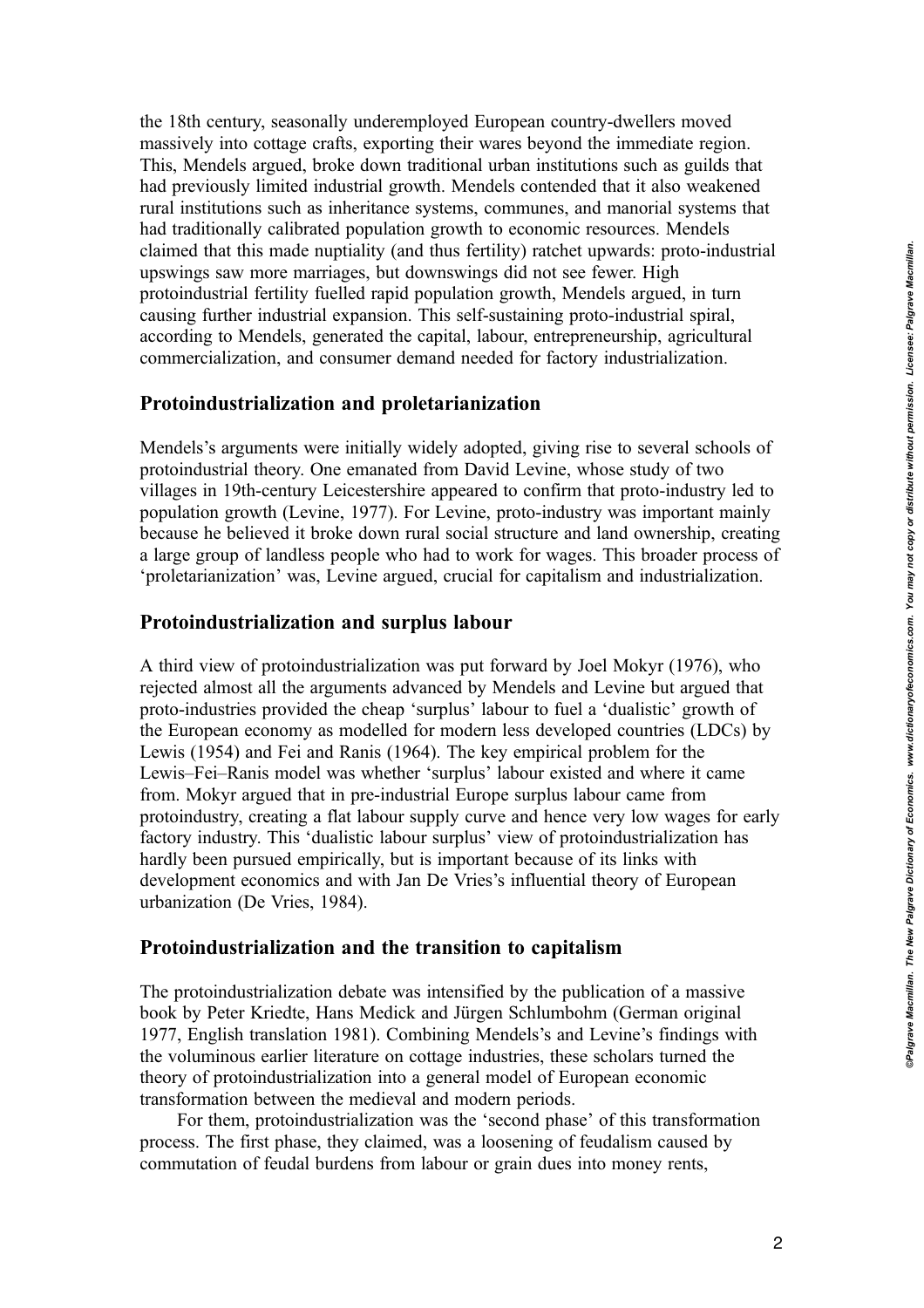the 18th century, seasonally underemployed European country-dwellers moved massively into cottage crafts, exporting their wares beyond the immediate region. This, Mendels argued, broke down traditional urban institutions such as guilds that had previously limited industrial growth. Mendels contended that it also weakened rural institutions such as inheritance systems, communes, and manorial systems that had traditionally calibrated population growth to economic resources. Mendels claimed that this made nuptiality (and thus fertility) ratchet upwards: proto-industrial upswings saw more marriages, but downswings did not see fewer. High protoindustrial fertility fuelled rapid population growth, Mendels argued, in turn causing further industrial expansion. This self-sustaining proto-industrial spiral, according to Mendels, generated the capital, labour, entrepreneurship, agricultural commercialization, and consumer demand needed for factory industrialization.

#### Protoindustrialization and proletarianization

Mendels's arguments were initially widely adopted, giving rise to several schools of protoindustrial theory. One emanated from David Levine, whose study of two villages in 19th-century Leicestershire appeared to confirm that proto-industry led to population growth (Levine, 1977). For Levine, proto-industry was important mainly because he believed it broke down rural social structure and land ownership, creating a large group of landless people who had to work for wages. This broader process of 'proletarianization' was, Levine argued, crucial for capitalism and industrialization.

#### Protoindustrialization and surplus labour

A third view of protoindustrialization was put forward by Joel Mokyr (1976), who rejected almost all the arguments advanced by Mendels and Levine but argued that proto-industries provided the cheap 'surplus' labour to fuel a 'dualistic' growth of the European economy as modelled for modern less developed countries (LDCs) by Lewis (1954) and Fei and Ranis (1964). The key empirical problem for the Lewis–Fei–Ranis model was whether 'surplus' labour existed and where it came from. Mokyr argued that in pre-industrial Europe surplus labour came from protoindustry, creating a flat labour supply curve and hence very low wages for early factory industry. This 'dualistic labour surplus' view of protoindustrialization has hardly been pursued empirically, but is important because of its links with development economics and with Jan De Vries's influential theory of European urbanization (De Vries, 1984).

#### Protoindustrialization and the transition to capitalism

The protoindustrialization debate was intensified by the publication of a massive book by Peter Kriedte, Hans Medick and Jürgen Schlumbohm (German original 1977, English translation 1981). Combining Mendels's and Levine's findings with the voluminous earlier literature on cottage industries, these scholars turned the theory of protoindustrialization into a general model of European economic transformation between the medieval and modern periods.

For them, protoindustrialization was the 'second phase' of this transformation process. The first phase, they claimed, was a loosening of feudalism caused by commutation of feudal burdens from labour or grain dues into money rents,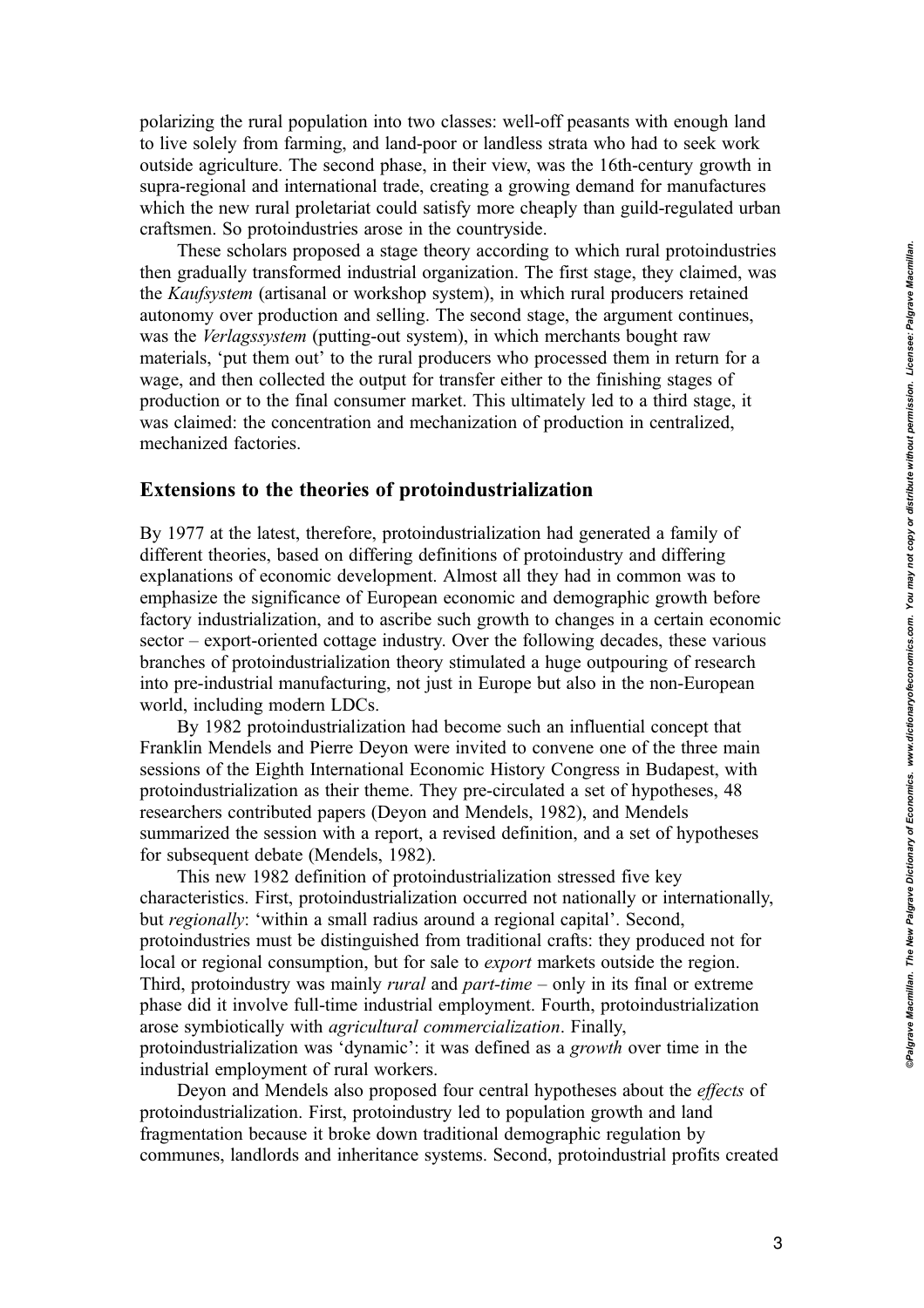polarizing the rural population into two classes: well-off peasants with enough land to live solely from farming, and land-poor or landless strata who had to seek work outside agriculture. The second phase, in their view, was the 16th-century growth in supra-regional and international trade, creating a growing demand for manufactures which the new rural proletariat could satisfy more cheaply than guild-regulated urban craftsmen. So protoindustries arose in the countryside.

These scholars proposed a stage theory according to which rural protoindustries then gradually transformed industrial organization. The first stage, they claimed, was the Kaufsystem (artisanal or workshop system), in which rural producers retained autonomy over production and selling. The second stage, the argument continues, was the Verlagssystem (putting-out system), in which merchants bought raw materials, 'put them out' to the rural producers who processed them in return for a wage, and then collected the output for transfer either to the finishing stages of production or to the final consumer market. This ultimately led to a third stage, it was claimed: the concentration and mechanization of production in centralized, mechanized factories.

#### Extensions to the theories of protoindustrialization

By 1977 at the latest, therefore, protoindustrialization had generated a family of different theories, based on differing definitions of protoindustry and differing explanations of economic development. Almost all they had in common was to emphasize the significance of European economic and demographic growth before factory industrialization, and to ascribe such growth to changes in a certain economic sector – export-oriented cottage industry. Over the following decades, these various branches of protoindustrialization theory stimulated a huge outpouring of research into pre-industrial manufacturing, not just in Europe but also in the non-European world, including modern LDCs.

By 1982 protoindustrialization had become such an influential concept that Franklin Mendels and Pierre Deyon were invited to convene one of the three main sessions of the Eighth International Economic History Congress in Budapest, with protoindustrialization as their theme. They pre-circulated a set of hypotheses, 48 researchers contributed papers (Deyon and Mendels, 1982), and Mendels summarized the session with a report, a revised definition, and a set of hypotheses for subsequent debate (Mendels, 1982).

This new 1982 definition of protoindustrialization stressed five key characteristics. First, protoindustrialization occurred not nationally or internationally, but regionally: 'within a small radius around a regional capital'. Second, protoindustries must be distinguished from traditional crafts: they produced not for local or regional consumption, but for sale to export markets outside the region. Third, protoindustry was mainly *rural* and *part-time* – only in its final or extreme phase did it involve full-time industrial employment. Fourth, protoindustrialization arose symbiotically with agricultural commercialization. Finally, protoindustrialization was 'dynamic': it was defined as a growth over time in the industrial employment of rural workers.

Deyon and Mendels also proposed four central hypotheses about the effects of protoindustrialization. First, protoindustry led to population growth and land fragmentation because it broke down traditional demographic regulation by communes, landlords and inheritance systems. Second, protoindustrial profits created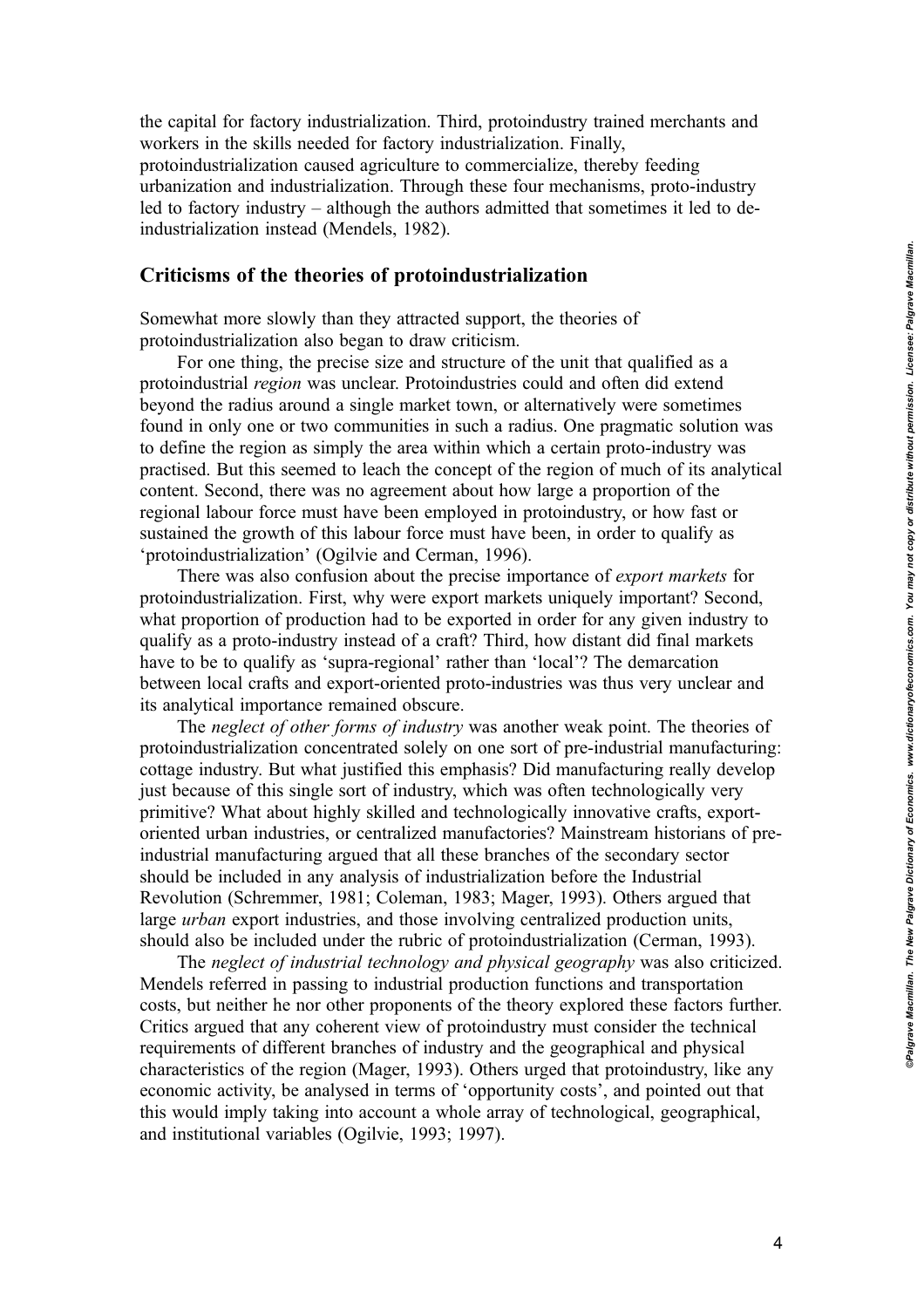the capital for factory industrialization. Third, protoindustry trained merchants and workers in the skills needed for factory industrialization. Finally, protoindustrialization caused agriculture to commercialize, thereby feeding urbanization and industrialization. Through these four mechanisms, proto-industry led to factory industry – although the authors admitted that sometimes it led to deindustrialization instead (Mendels, 1982).

#### Criticisms of the theories of protoindustrialization

Somewhat more slowly than they attracted support, the theories of protoindustrialization also began to draw criticism.

For one thing, the precise size and structure of the unit that qualified as a protoindustrial region was unclear. Protoindustries could and often did extend beyond the radius around a single market town, or alternatively were sometimes found in only one or two communities in such a radius. One pragmatic solution was to define the region as simply the area within which a certain proto-industry was practised. But this seemed to leach the concept of the region of much of its analytical content. Second, there was no agreement about how large a proportion of the regional labour force must have been employed in protoindustry, or how fast or sustained the growth of this labour force must have been, in order to qualify as 'protoindustrialization' (Ogilvie and Cerman, 1996).

There was also confusion about the precise importance of export markets for protoindustrialization. First, why were export markets uniquely important? Second, what proportion of production had to be exported in order for any given industry to qualify as a proto-industry instead of a craft? Third, how distant did final markets have to be to qualify as 'supra-regional' rather than 'local'? The demarcation between local crafts and export-oriented proto-industries was thus very unclear and its analytical importance remained obscure.

The neglect of other forms of industry was another weak point. The theories of protoindustrialization concentrated solely on one sort of pre-industrial manufacturing: cottage industry. But what justified this emphasis? Did manufacturing really develop just because of this single sort of industry, which was often technologically very primitive? What about highly skilled and technologically innovative crafts, exportoriented urban industries, or centralized manufactories? Mainstream historians of preindustrial manufacturing argued that all these branches of the secondary sector should be included in any analysis of industrialization before the Industrial Revolution (Schremmer, 1981; Coleman, 1983; Mager, 1993). Others argued that large urban export industries, and those involving centralized production units, should also be included under the rubric of protoindustrialization (Cerman, 1993).

The neglect of industrial technology and physical geography was also criticized. Mendels referred in passing to industrial production functions and transportation costs, but neither he nor other proponents of the theory explored these factors further. Critics argued that any coherent view of protoindustry must consider the technical requirements of different branches of industry and the geographical and physical characteristics of the region (Mager, 1993). Others urged that protoindustry, like any economic activity, be analysed in terms of 'opportunity costs', and pointed out that this would imply taking into account a whole array of technological, geographical, and institutional variables (Ogilvie, 1993; 1997).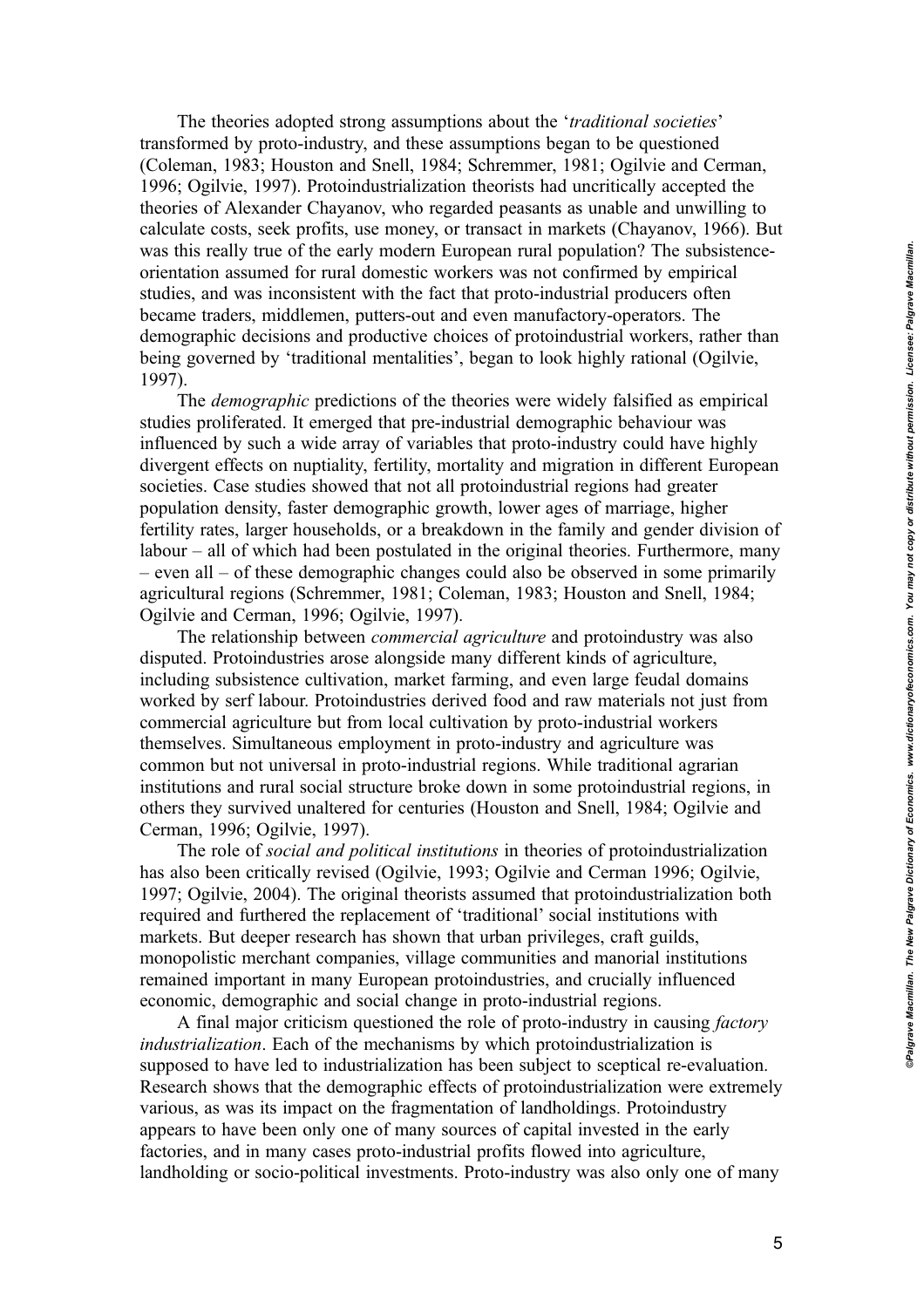The theories adopted strong assumptions about the 'traditional societies' transformed by proto-industry, and these assumptions began to be questioned (Coleman, 1983; Houston and Snell, 1984; Schremmer, 1981; Ogilvie and Cerman, 1996; Ogilvie, 1997). Protoindustrialization theorists had uncritically accepted the theories of Alexander Chayanov, who regarded peasants as unable and unwilling to calculate costs, seek profits, use money, or transact in markets (Chayanov, 1966). But was this really true of the early modern European rural population? The subsistenceorientation assumed for rural domestic workers was not confirmed by empirical studies, and was inconsistent with the fact that proto-industrial producers often became traders, middlemen, putters-out and even manufactory-operators. The demographic decisions and productive choices of protoindustrial workers, rather than being governed by 'traditional mentalities', began to look highly rational (Ogilvie, 1997).

The demographic predictions of the theories were widely falsified as empirical studies proliferated. It emerged that pre-industrial demographic behaviour was influenced by such a wide array of variables that proto-industry could have highly divergent effects on nuptiality, fertility, mortality and migration in different European societies. Case studies showed that not all protoindustrial regions had greater population density, faster demographic growth, lower ages of marriage, higher fertility rates, larger households, or a breakdown in the family and gender division of labour – all of which had been postulated in the original theories. Furthermore, many – even all – of these demographic changes could also be observed in some primarily agricultural regions (Schremmer, 1981; Coleman, 1983; Houston and Snell, 1984; Ogilvie and Cerman, 1996; Ogilvie, 1997).

The relationship between *commercial agriculture* and protoindustry was also disputed. Protoindustries arose alongside many different kinds of agriculture, including subsistence cultivation, market farming, and even large feudal domains worked by serf labour. Protoindustries derived food and raw materials not just from commercial agriculture but from local cultivation by proto-industrial workers themselves. Simultaneous employment in proto-industry and agriculture was common but not universal in proto-industrial regions. While traditional agrarian institutions and rural social structure broke down in some protoindustrial regions, in others they survived unaltered for centuries (Houston and Snell, 1984; Ogilvie and Cerman, 1996; Ogilvie, 1997).

The role of social and political institutions in theories of protoindustrialization has also been critically revised (Ogilvie, 1993; Ogilvie and Cerman 1996; Ogilvie, 1997; Ogilvie, 2004). The original theorists assumed that protoindustrialization both required and furthered the replacement of 'traditional' social institutions with markets. But deeper research has shown that urban privileges, craft guilds, monopolistic merchant companies, village communities and manorial institutions remained important in many European protoindustries, and crucially influenced economic, demographic and social change in proto-industrial regions.

A final major criticism questioned the role of proto-industry in causing factory industrialization. Each of the mechanisms by which protoindustrialization is supposed to have led to industrialization has been subject to sceptical re-evaluation. Research shows that the demographic effects of protoindustrialization were extremely various, as was its impact on the fragmentation of landholdings. Protoindustry appears to have been only one of many sources of capital invested in the early factories, and in many cases proto-industrial profits flowed into agriculture, landholding or socio-political investments. Proto-industry was also only one of many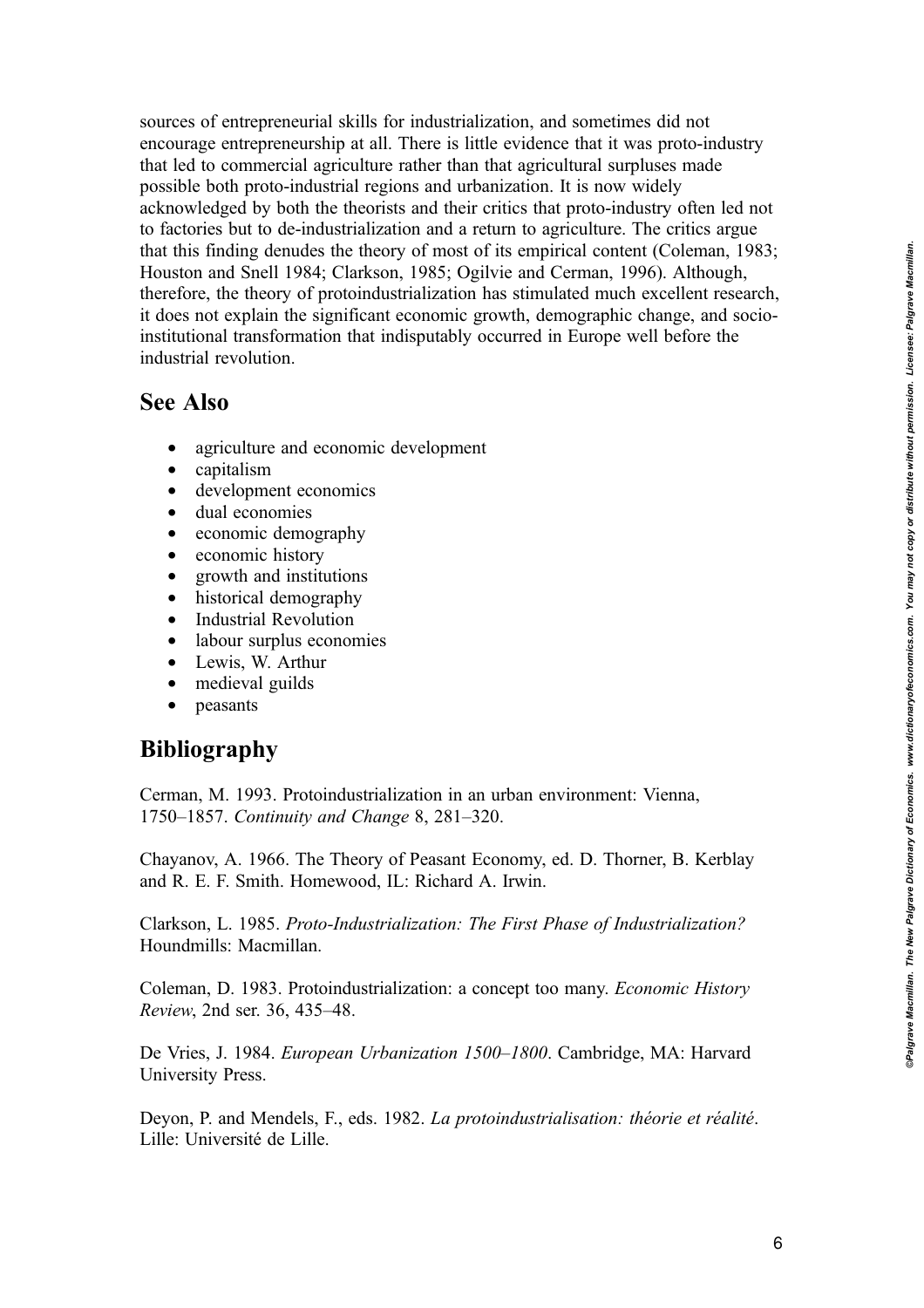sources of entrepreneurial skills for industrialization, and sometimes did not encourage entrepreneurship at all. There is little evidence that it was proto-industry that led to commercial agriculture rather than that agricultural surpluses made possible both proto-industrial regions and urbanization. It is now widely acknowledged by both the theorists and their critics that proto-industry often led not to factories but to de-industrialization and a return to agriculture. The critics argue that this finding denudes the theory of most of its empirical content (Coleman, 1983; Houston and Snell 1984; Clarkson, 1985; Ogilvie and Cerman, 1996). Although, therefore, the theory of protoindustrialization has stimulated much excellent research, it does not explain the significant economic growth, demographic change, and socioinstitutional transformation that indisputably occurred in Europe well before the industrial revolution.

### See Also

- agriculture and economic development
- capitalism<br>• developme
- development economics
- dual economies
- economic demography
- economic history
- growth and institutions
- historical demography
- Industrial Revolution
- labour surplus economies
- Lewis, W. Arthur
- medieval guilds
- peasants

### Bibliography

Cerman, M. 1993. Protoindustrialization in an urban environment: Vienna, 1750–1857. Continuity and Change 8, 281–320.

Chayanov, A. 1966. The Theory of Peasant Economy, ed. D. Thorner, B. Kerblay and R. E. F. Smith. Homewood, IL: Richard A. Irwin.

Clarkson, L. 1985. Proto-Industrialization: The First Phase of Industrialization? Houndmills: Macmillan.

Coleman, D. 1983. Protoindustrialization: a concept too many. Economic History Review, 2nd ser. 36, 435–48.

De Vries, J. 1984. European Urbanization 1500–1800. Cambridge, MA: Harvard University Press.

Deyon, P. and Mendels, F., eds. 1982. La protoindustrialisation: théorie et réalité. Lille: Université de Lille.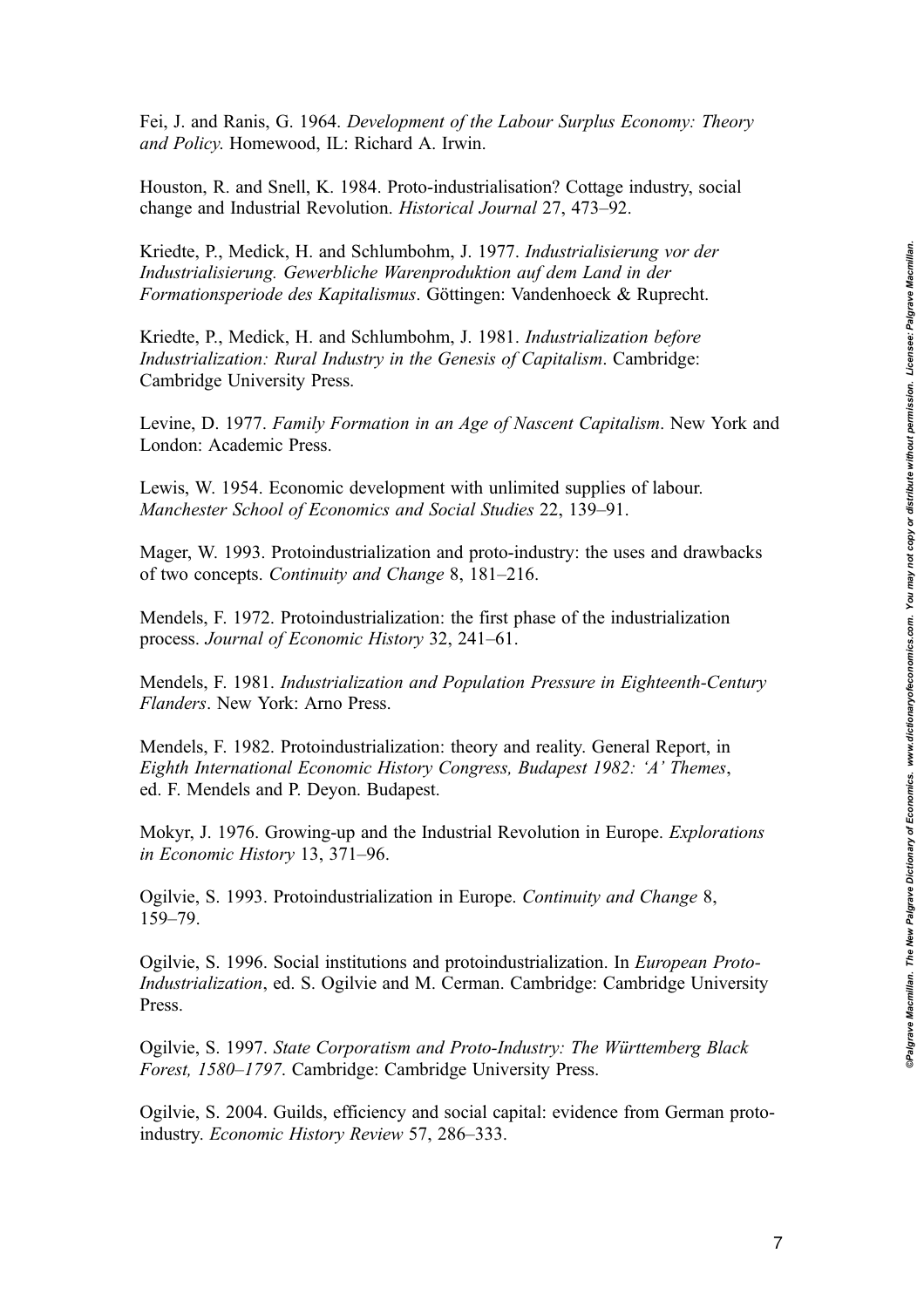Fei, J. and Ranis, G. 1964. Development of the Labour Surplus Economy: Theory and Policy. Homewood, IL: Richard A. Irwin.

Houston, R. and Snell, K. 1984. Proto-industrialisation? Cottage industry, social change and Industrial Revolution. Historical Journal 27, 473–92.

Kriedte, P., Medick, H. and Schlumbohm, J. 1977. Industrialisierung vor der Industrialisierung. Gewerbliche Warenproduktion auf dem Land in der Formationsperiode des Kapitalismus. Göttingen: Vandenhoeck & Ruprecht.

Kriedte, P., Medick, H. and Schlumbohm, J. 1981. Industrialization before Industrialization: Rural Industry in the Genesis of Capitalism. Cambridge: Cambridge University Press.

Levine, D. 1977. Family Formation in an Age of Nascent Capitalism. New York and London: Academic Press.

Lewis, W. 1954. Economic development with unlimited supplies of labour. Manchester School of Economics and Social Studies 22, 139–91.

Mager, W. 1993. Protoindustrialization and proto-industry: the uses and drawbacks of two concepts. Continuity and Change 8, 181–216.

Mendels, F. 1972. Protoindustrialization: the first phase of the industrialization process. Journal of Economic History 32, 241–61.

Mendels, F. 1981. Industrialization and Population Pressure in Eighteenth-Century Flanders. New York: Arno Press.

Mendels, F. 1982. Protoindustrialization: theory and reality. General Report, in Eighth International Economic History Congress, Budapest 1982: 'A' Themes, ed. F. Mendels and P. Deyon. Budapest.

Mokyr, J. 1976. Growing-up and the Industrial Revolution in Europe. Explorations in Economic History 13, 371–96.

Ogilvie, S. 1993. Protoindustrialization in Europe. Continuity and Change 8, 159–79.

Ogilvie, S. 1996. Social institutions and protoindustrialization. In European Proto-Industrialization, ed. S. Ogilvie and M. Cerman. Cambridge: Cambridge University Press.

Ogilvie, S. 1997. State Corporatism and Proto-Industry: The Württemberg Black Forest, 1580–1797. Cambridge: Cambridge University Press.

Ogilvie, S. 2004. Guilds, efficiency and social capital: evidence from German protoindustry. Economic History Review 57, 286–333.